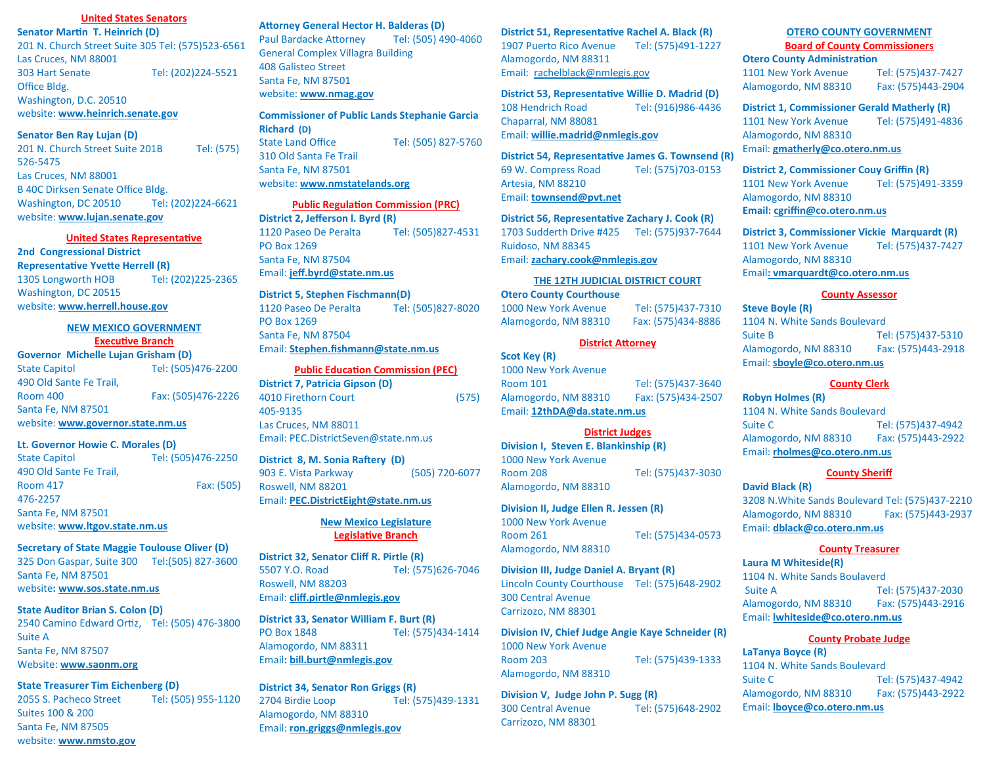## **United States Senators**

**Senator Martin T. Heinrich (D)** 201 N. Church Street Suite 305 Tel: (575)523-6561 Las Cruces, NM 88001 303 Hart Senate Tel: (202)224-5521 Office Bldg. Washington, D.C. 20510 website: **[www.heinrich.senate.gov](http://www.heinrich.senate.gov)**

#### **Senator Ben Ray Lujan (D)**

201 N. Church Street Suite 201B Tel: (575) 526-5475 Las Cruces, NM 88001 B 40C Dirksen Senate Office Bldg. Washington, DC 20510 Tel: (202)224-6621 website: **www.lujan.senate.gov**

#### **United States Representative**

**2nd Congressional District Representative Yvette Herrell (R)** 1305 Longworth HOB Tel: (202)225-2365 Washington, DC 20515

website: **www.herrell.house.gov**

### **NEW MEXICO GOVERNMENT Executive Branch**

**Governor Michelle Lujan Grisham (D)** State Capitol **Tel:** (505)476-2200 490 Old Sante Fe Trail, Room 400 Fax: (505)476-2226 Santa Fe, NM 87501 website: **[www.governor.state.nm.us](http://www.governor.state.nm.us)**

### **Lt. Governor Howie C. Morales (D)**

State Capitol **Tel:** (505)476-2250 490 Old Sante Fe Trail, Room 417 **Fax: (505)** 476-2257 Santa Fe, NM 87501 website: **[www.ltgov.state.nm.us](http://www.ltgov.state.nm.us)**

#### **Secretary of State Maggie Toulouse Oliver (D)**

325 Don Gaspar, Suite 300 Tel:(505) 827-3600 Santa Fe, NM 87501 website**: www.sos.state.nm.us**

### **State Auditor Brian S. Colon (D)**

2540 Camino Edward Ortiz, Tel: (505) 476-3800 Suite A Santa Fe, NM 87507 Website: **www.saonm.org**

# **State Treasurer Tim Eichenberg (D)**

2055 S. Pacheco Street Tel: (505) 955-1120 Suites 100 & 200 Santa Fe, NM 87505 website: **www.nmsto.gov**

### **Attorney General Hector H. Balderas (D)**

Paul Bardacke Attorney Tel: (505) 490-4060 General Complex Villagra Building 408 Galisteo Street Santa Fe, NM 87501 website: **www.nmag.gov**

**Commissioner of Public Lands Stephanie Garcia Richard (D)** State Land Office Tel: (505) 827-5760 310 Old Santa Fe Trail Santa Fe, NM 87501 website: **www.nmstatelands.org**

# **Public Regulation Commission (PRC)**

**District 2, Jefferson l. Byrd (R)** 1120 Paseo De Peralta Tel: (505)827-4531 PO Box 1269 Santa Fe, NM 87504 Email: **jeff.byrd@state.nm.us**

# **District 5, Stephen Fischmann(D)**

1120 Paseo De Peralta Tel: (505)827-8020 PO Box 1269 Santa Fe, NM 87504 Email: **Stephen.fishmann[@state.nm.us](mailto:ben.hall@state.nm.us)**

#### **Public Education Commission (PEC)**

**District 7, Patricia Gipson (D)** 4010 Firethorn Court (575) 405-9135 Las Cruces, NM 88011 Email: PEC.DistrictSeven@state.nm.us

## **District 8, M. Sonia Raftery (D)**

903 E. Vista Parkway (505) 720-6077 Roswell, NM 88201 Email: **PEC.DistrictEight@state.nm.us**

### **New Mexico Legislature Legislative Branch**

**District 32, Senator Cliff R. Pirtle (R)** 5507 Y.O. Road Tel: (575)626-7046 Roswell, NM 88203 Email: **[cliff.pirtle@nmlegis.gov](mailto:cliff.pirtle@nmlegis.gov)**

**District 33, Senator William F. Burt (R)** PO Box 1848 Tel: (575)434-1414 Alamogordo, NM 88311 Email**: [bill.burt@nmlegis.gov](mailto:bill.burt@nmlegis.gov)**

**District 34, Senator Ron Griggs (R)** 2704 Birdie Loop Tel: (575)439-1331 Alamogordo, NM 88310 Email: **[ron.griggs@nmlegis.gov](mailto:ron.griggs@nmlegis.gov)**

#### **District 51, Representative Rachel A. Black (R)**

1907 Puerto Rico Avenue Tel: (575)491-1227 Alamogordo, NM 88311 Email: rachelblack@nmlegis.gov

# **District 53, Representative Willie D. Madrid (D)** 108 Hendrich Road Tel: (916)986-4436

Chaparral, NM 88081 Email: **willie.madrid@nmlegis.gov**

**District 54, Representative James G. Townsend (R)** 69 W. Compress Road Tel: (575)703-0153 Artesia, NM 88210 Email: **townsend@pvt.net**

**District 56, Representative Zachary J. Cook (R)**

1703 Sudderth Drive #425 Tel: (575)937-7644 Ruidoso, NM 88345 Email: **zachary.cook@nmlegis.gov**

## **THE 12TH JUDICIAL DISTRICT COURT**

# **Otero County Courthouse**

1000 New York Avenue Tel: (575)437-7310 Alamogordo, NM 88310 Fax: (575)434-8886

#### **District Attorney**

**Scot Key (R)** 1000 New York Avenue Room 101 Tel: (575)437-3640 Alamogordo, NM 88310 Fax: (575)434-2507 Email: **[12thDA@da.state.nm.us](mailto:12thDA@da.state.nm.us)**

## **District Judges**

**Division I, Steven E. Blankinship (R)** 1000 New York Avenue Room 208 Tel: (575)437-3030 Alamogordo, NM 88310

# **Division II, Judge Ellen R. Jessen (R)**

1000 New York Avenue Room 261 Tel: (575)434-0573 Alamogordo, NM 88310

# **Division III, Judge Daniel A. Bryant (R)**

Lincoln County Courthouse Tel: (575)648-2902 300 Central Avenue Carrizozo, NM 88301

**Division IV, Chief Judge Angie Kaye Schneider (R)** 1000 New York Avenue Room 203 Tel: (575)439-1333 Alamogordo, NM 88310

**Division V, Judge John P. Sugg (R)** 300 Central Avenue Tel: (575)648-2902 Carrizozo, NM 88301

### **OTERO COUNTY GOVERNMENT Board of County Commissioners**

**Otero County Administration** 

1101 New York Avenue Tel: (575)437-7427 Alamogordo, NM 88310 Fax: (575)443-2904

**District 1, Commissioner Gerald Matherly (R)** 1101 New York Avenue Tel: (575)491-4836 Alamogordo, NM 88310 Email: **gmatherly@co.otero.nm.us**

# **District 2, Commissioner Couy Griffin (R)** 1101 New York Avenue Tel: (575)491-3359 Alamogordo, NM 88310 **Email: cgriffin[@co.otero.nm.us](mailto:sflores@co.otero.nm.us)**

**District 3, Commissioner Vickie Marquardt (R)** 1101 New York Avenue Tel: (575)437-7427 Alamogordo, NM 88310 Email**: vmarquard[t@co.otero.nm.us](mailto:rrardin@co.otero.nm.us)**

# **County Assessor**

**Steve Boyle (R)** 1104 N. White Sands Boulevard Suite B Tel: (575)437-5310 Alamogordo, NM 88310 Fax: (575)443-2918 Email: **[sboyle@co.otero.nm.us](mailto:dyee@co.otero.nm.us)**

# **County Clerk**

**Robyn Holmes (R)** 1104 N. White Sands Boulevard Suite C Tel: (575)437-4942 Alamogordo, NM 88310 Fax: (575)443-2922 Email: **[rholmes@co.otero.nm.us](mailto:dguerra@co.otero.nm.us)**

#### **County Sheriff**

**David Black (R)** 3208 N.White Sands Boulevard Tel: (575)437-2210 Alamogordo, NM 88310 Fax: (575)443-2937 Email: **dblack[@co.otero.nm.us](mailto:bhouse@co.otero.nm.us)**

# **County Treasurer**

**Laura M Whiteside(R)** 1104 N. White Sands Boulaverd Suite A Tel: (575)437-2030 Alamogordo, NM 88310 Fax: (575)443-2916 Email: **lwhitesid[e@co.otero.nm.us](mailto:cprather@co.otero.nm.us)**

# **County Probate Judge**

**LaTanya Boyce (R)** 1104 N. White Sands Boulevard Suite C **Tel: (575)437-4942** Alamogordo, NM 88310 Fax: (575)443-2922 Email: **lboyce[@co.otero.nm.us](mailto:ctenski@co.otero.nm.us)**